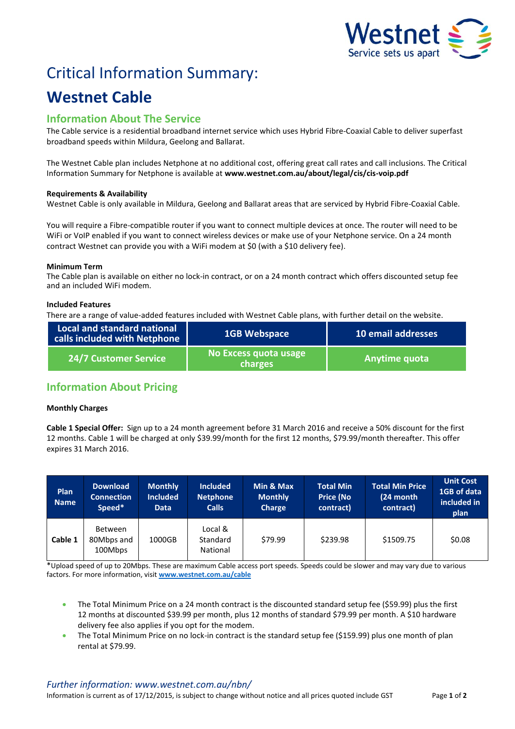

# Critical Information Summary:

## **Westnet Cable**

### **Information About The Service**

The Cable service is a residential broadband internet service which uses Hybrid Fibre-Coaxial Cable to deliver superfast broadband speeds within Mildura, Geelong and Ballarat.

The Westnet Cable plan includes Netphone at no additional cost, offering great call rates and call inclusions. The Critical Information Summary for Netphone is available at **www.westnet.com.au/about/legal/cis/cis-voip.pdf**

#### **Requirements & Availability**

Westnet Cable is only available in Mildura, Geelong and Ballarat areas that are serviced by Hybrid Fibre-Coaxial Cable.

You will require a Fibre-compatible router if you want to connect multiple devices at once. The router will need to be WiFi or VoIP enabled if you want to connect wireless devices or make use of your Netphone service. On a 24 month contract Westnet can provide you with a WiFi modem at \$0 (with a \$10 delivery fee).

#### **Minimum Term**

The Cable plan is available on either no lock-in contract, or on a 24 month contract which offers discounted setup fee and an included WiFi modem.

#### **Included Features**

There are a range of value-added features included with Westnet Cable plans, with further detail on the website.

| Local and standard national<br>calls included with Netphone | <b>1GB Webspace</b>              | 10 email addresses |  |
|-------------------------------------------------------------|----------------------------------|--------------------|--|
| <b>24/7 Customer Service</b>                                | No Excess quota usage<br>charges | Anytime quota      |  |

## **Information About Pricing**

#### **Monthly Charges**

**Cable 1 Special Offer:** Sign up to a 24 month agreement before 31 March 2016 and receive a 50% discount for the first 12 months. Cable 1 will be charged at only \$39.99/month for the first 12 months, \$79.99/month thereafter. This offer expires 31 March 2016.

| <b>Plan</b><br><b>Name</b> | <b>Download</b><br><b>Connection</b><br>Speed* | <b>Monthly</b><br><b>Included</b><br>Data | <b>Included</b><br><b>Netphone</b><br><b>Calls</b> | Min & Max<br><b>Monthly</b><br><b>Charge</b> | <b>Total Min</b><br><b>Price (No</b><br>contract) | <b>Total Min Price</b><br>(24 month<br>contract) | <b>Unit Cost</b><br>1GB of data<br>included in<br>plan |
|----------------------------|------------------------------------------------|-------------------------------------------|----------------------------------------------------|----------------------------------------------|---------------------------------------------------|--------------------------------------------------|--------------------------------------------------------|
| Cable 1                    | Between<br>80Mbps and<br>100Mbps               | 1000GB                                    | Local &<br>Standard<br>National                    | \$79.99                                      | \$239.98                                          | \$1509.75                                        | \$0.08                                                 |

\*Upload speed of up to 20Mbps. These are maximum Cable access port speeds. Speeds could be slower and may vary due to various factors. For more information, visit **[www.westnet.com.au/cable](http://www.westnet.com.au/cable)**

- The Total Minimum Price on a 24 month contract is the discounted standard setup fee (\$59.99) plus the first 12 months at discounted \$39.99 per month, plus 12 months of standard \$79.99 per month. A \$10 hardware delivery fee also applies if you opt for the modem.
- The Total Minimum Price on no lock-in contract is the standard setup fee (\$159.99) plus one month of plan rental at \$79.99.